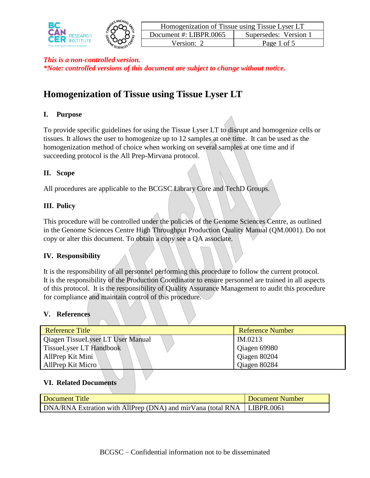



| Homogenization of Tissue using Tissue Lyser LT |                       |  |  |
|------------------------------------------------|-----------------------|--|--|
| Document #: LIBPR.0065                         | Supersedes: Version 1 |  |  |
| Version: 2                                     | Page 1 of 5           |  |  |

# **Homogenization of Tissue using Tissue Lyser LT**

# **I. Purpose**

To provide specific guidelines for using the Tissue Lyser LT to disrupt and homogenize cells or tissues. It allows the user to homogenize up to 12 samples at one time. It can be used as the homogenization method of choice when working on several samples at one time and if succeeding protocol is the All Prep-Mirvana protocol.

# **II. Scope**

All procedures are applicable to the BCGSC Library Core and TechD Groups.

## **III. Policy**

This procedure will be controlled under the policies of the Genome Sciences Centre, as outlined in the Genome Sciences Centre High Throughput Production Quality Manual (QM.0001). Do not copy or alter this document. To obtain a copy see a QA associate.

# **IV. Responsibility**

It is the responsibility of all personnel performing this procedure to follow the current protocol. It is the responsibility of the Production Coordinator to ensure personnel are trained in all aspects of this protocol. It is the responsibility of Quality Assurance Management to audit this procedure for compliance and maintain control of this procedure.

#### **V. References**

| <b>Reference Title</b>            | <b>Reference Number</b> |
|-----------------------------------|-------------------------|
| Qiagen TissueLyser LT User Manual | IM.0213                 |
| <b>TissueLyser LT Handbook</b>    | Qiagen 69980            |
| AllPrep Kit Mini                  | Qiagen 80204            |
| AllPrep Kit Micro                 | Qiagen 80284            |

#### **VI. Related Documents**

| Document Title                                                           | Document Number |
|--------------------------------------------------------------------------|-----------------|
| DNA/RNA Extration with AllPrep (DNA) and mirVana (total RNA   LIBPR.0061 |                 |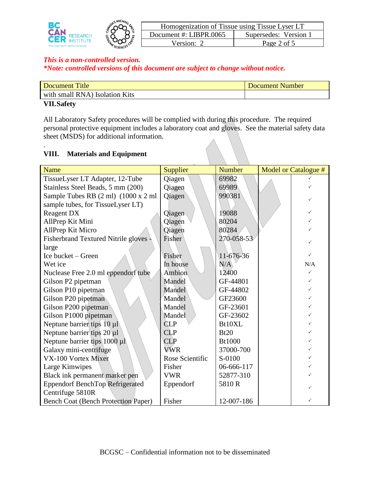



| Homogenization of Tissue using Tissue Lyser LT |                       |  |
|------------------------------------------------|-----------------------|--|
| Document #: LIBPR.0065                         | Supersedes: Version 1 |  |
| Version: 2                                     | Page 2 of 5           |  |

| Document Title                 | Document Number |
|--------------------------------|-----------------|
| with small RNA) Isolation Kits |                 |
| <b>VII Safety</b>              |                 |

#### **VII.Safety**

.

All Laboratory Safety procedures will be complied with during this procedure. The required personal protective equipment includes a laboratory coat and gloves. See the material safety data sheet (MSDS) for additional information.

# **VIII. Materials and Equipment**

| Name                                       | Supplier        | <b>Number</b> | Model or Catalogue # |
|--------------------------------------------|-----------------|---------------|----------------------|
| TissueLyser LT Adapter, 12-Tube            | Qiagen          | 69982         |                      |
| Stainless Steel Beads, 5 mm (200)          | Qiagen          | 69989         |                      |
| Sample Tubes RB (2 ml) (1000 x 2 ml        | Qiagen          | 990381        |                      |
| sample tubes, for TissueLyser LT)          |                 |               |                      |
| <b>Reagent DX</b>                          | Qiagen          | 19088         |                      |
| AllPrep Kit Mini                           | Qiagen          | 80204         |                      |
| AllPrep Kit Micro                          | Qiagen          | 80284         |                      |
| <b>Fisherbrand Textured Nitrile gloves</b> | Fisher          | 270-058-53    |                      |
| large                                      |                 |               |                      |
| Ice bucket – Green                         | Fisher          | 11-676-36     | ✓                    |
| Wet ice                                    | In house        | N/A           | N/A                  |
| Nuclease Free 2.0 ml eppendorf tube        | Ambion          | 12400         |                      |
| Gilson P2 pipetman                         | Mandel          | GF-44801      |                      |
| Gilson P10 pipetman                        | Mandel          | GF-44802      |                      |
| Gilson P20 pipetman                        | Mandel          | GF23600       |                      |
| Gilson P200 pipetman                       | Mandel          | GF-23601      |                      |
| Gilson P1000 pipetman                      | Mandel          | GF-23602      |                      |
| Neptune barrier tips $10 \mu l$            | <b>CLP</b>      | Bt10XL        |                      |
| Neptune barrier tips $20 \mu l$            | CLP             | Bt20          |                      |
| Neptune barrier tips $1000 \mu$            | CLP             | <b>Bt1000</b> |                      |
| Galaxy mini-centrifuge                     | <b>VWR</b>      | 37000-700     |                      |
| VX-100 Vortex Mixer                        | Rose Scientific | S-0100        |                      |
| Large Kimwipes                             | Fisher          | 06-666-117    |                      |
| Black ink permanent marker pen             | <b>VWR</b>      | 52877-310     |                      |
| <b>Eppendorf BenchTop Refrigerated</b>     | Eppendorf       | 5810R         |                      |
| Centrifuge 5810R                           |                 |               |                      |
| <b>Bench Coat (Bench Protection Paper)</b> | Fisher          | 12-007-186    | ✓                    |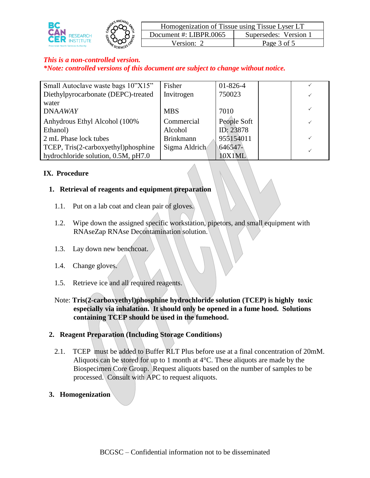



| Homogenization of Tissue using Tissue Lyser LT |                       |  |  |
|------------------------------------------------|-----------------------|--|--|
| Document #: LIBPR.0065                         | Supersedes: Version 1 |  |  |
| Version: 2                                     | Page 3 of 5           |  |  |

## *This is a non-controlled version.*

*\*Note: controlled versions of this document are subject to change without notice.*

| Small Autoclave waste bags 10"X15"  | Fisher           | $01 - 826 - 4$ |  |
|-------------------------------------|------------------|----------------|--|
| Diethylpyrocarbonate (DEPC)-treated | Invitrogen       | 750023         |  |
| water                               |                  |                |  |
| <b>DNAAWAY</b>                      | <b>MBS</b>       | 7010           |  |
| Anhydrous Ethyl Alcohol (100%       | Commercial       | People Soft    |  |
| Ethanol)                            | Alcohol          | ID: 23878      |  |
| 2 mL Phase lock tubes               | <b>Brinkmann</b> | 955154011      |  |
| TCEP, Tris(2-carboxyethyl)phosphine | Sigma Aldrich    | 646547-        |  |
| hydrochloride solution, 0.5M, pH7.0 |                  | 10X1ML         |  |

#### **IX. Procedure**

#### **1. Retrieval of reagents and equipment preparation**

- 1.1. Put on a lab coat and clean pair of gloves.
- 1.2. Wipe down the assigned specific workstation, pipetors, and small equipment with RNAseZap RNAse Decontamination solution.
- 1.3. Lay down new benchcoat.
- 1.4. Change gloves.
- 1.5. Retrieve ice and all required reagents.
- Note: **Tris(2-carboxyethyl)phosphine hydrochloride solution (TCEP) is highly toxic especially via inhalation. It should only be opened in a fume hood. Solutions containing TCEP should be used in the fumehood.**

#### **2. Reagent Preparation (Including Storage Conditions)**

- 2.1. TCEP must be added to Buffer RLT Plus before use at a final concentration of 20mM. Aliquots can be stored for up to 1 month at 4°C. These aliquots are made by the Biospecimen Core Group. Request aliquots based on the number of samples to be processed. Consult with APC to request aliquots.
- **3. Homogenization**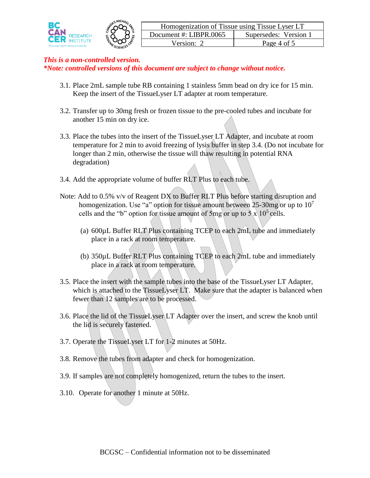



- 3.1. Place 2mL sample tube RB containing 1 stainless 5mm bead on dry ice for 15 min. Keep the insert of the TissueLyser LT adapter at room temperature.
- 3.2. Transfer up to 30mg fresh or frozen tissue to the pre-cooled tubes and incubate for another 15 min on dry ice.
- 3.3. Place the tubes into the insert of the TissueLyser LT Adapter, and incubate at room temperature for 2 min to avoid freezing of lysis buffer in step 3.4. (Do not incubate for longer than 2 min, otherwise the tissue will thaw resulting in potential RNA degradation)
- 3.4. Add the appropriate volume of buffer RLT Plus to each tube.
- Note: Add to 0.5% v/v of Reagent DX to Buffer RLT Plus before starting disruption and homogenization. Use "a" option for tissue amount between 25-30mg or up to  $10<sup>7</sup>$ cells and the "b" option for tissue amount of 5mg or up to  $5 \times 10^5$  cells.
	- (a) 600µL Buffer RLT Plus containing TCEP to each 2mL tube and immediately place in a rack at room temperature.
	- (b) 350µL Buffer RLT Plus containing TCEP to each 2mL tube and immediately place in a rack at room temperature.
- 3.5. Place the insert with the sample tubes into the base of the TissueLyser LT Adapter, which is attached to the TissueLyser LT. Make sure that the adapter is balanced when fewer than 12 samples are to be processed.
- 3.6. Place the lid of the TissueLyser LT Adapter over the insert, and screw the knob until the lid is securely fastened.
- 3.7. Operate the TissueLyser LT for 1-2 minutes at 50Hz.
- 3.8. Remove the tubes from adapter and check for homogenization.
- 3.9. If samples are not completely homogenized, return the tubes to the insert.
- 3.10. Operate for another 1 minute at 50Hz.